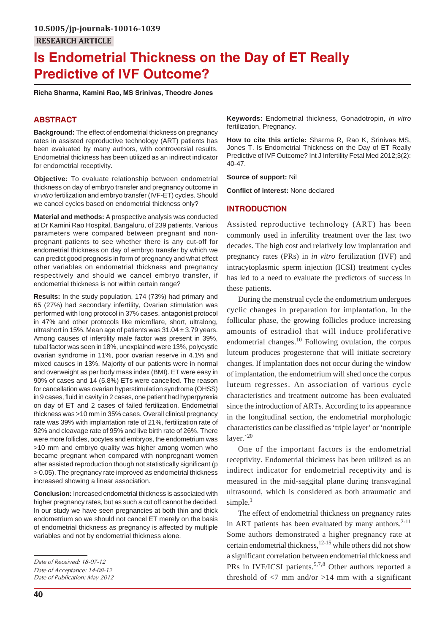# **Is Endometrial Thickness on the Day of ET Really Predictive of IVF Outcome?**

**Richa Sharma, Kamini Rao, MS Srinivas, Theodre Jones**

# **ABSTRACT**

**Background:** The effect of endometrial thickness on pregnancy rates in assisted reproductive technology (ART) patients has been evaluated by many authors, with controversial results. Endometrial thickness has been utilized as an indirect indicator for endometrial receptivity.

**Objective:** To evaluate relationship between endometrial thickness on day of embryo transfer and pregnancy outcome in *in vitro* fertilization and embryo transfer (IVF-ET) cycles. Should we cancel cycles based on endometrial thickness only?

**Material and methods:** A prospective analysis was conducted at Dr Kamini Rao Hospital, Bangaluru, of 239 patients. Various parameters were compared between pregnant and nonpregnant patients to see whether there is any cut-off for endometrial thickness on day of embryo transfer by which we can predict good prognosis in form of pregnancy and what effect other variables on endometrial thickness and pregnancy respectively and should we cancel embryo transfer, if endometrial thickness is not within certain range?

**Results:** In the study population, 174 (73%) had primary and 65 (27%) had secondary infertility, Ovarian stimulation was performed with long protocol in 37% cases, antagonist protocol in 47% and other protocols like microflare, short, ultralong, ultrashort in 15%. Mean age of patients was 31.04 ± 3.79 years. Among causes of infertility male factor was present in 39%, tubal factor was seen in 18%, unexplained were 13%, polycystic ovarian syndrome in 11%, poor ovarian reserve in 4.1% and mixed causes in 13%. Majority of our patients were in normal and overweight as per body mass index (BMI). ET were easy in 90% of cases and 14 (5.8%) ETs were cancelled. The reason for cancellation was ovarian hyperstimulation syndrome (OHSS) in 9 cases, fluid in cavity in 2 cases, one patient had hyperpyrexia on day of ET and 2 cases of failed fertilization. Endometrial thickness was >10 mm in 35% cases. Overall clinical pregnancy rate was 39% with implantation rate of 21%, fertilization rate of 92% and cleavage rate of 95% and live birth rate of 26%. There were more follicles, oocytes and embryos, the endometrium was >10 mm and embryo quality was higher among women who became pregnant when compared with nonpregnant women after assisted reproduction though not statistically significant (p > 0.05). The pregnancy rate improved as endometrial thickness increased showing a linear association.

**Conclusion:** Increased endometrial thickness is associated with higher pregnancy rates, but as such a cut off cannot be decided. In our study we have seen pregnancies at both thin and thick endometrium so we should not cancel ET merely on the basis of endometrial thickness as pregnancy is affected by multiple variables and not by endometrial thickness alone.

*Date of Publication: May 2012*

**Keywords:** Endometrial thickness, Gonadotropin, *In vitro* fertilization, Pregnancy.

**How to cite this article:** Sharma R, Rao K, Srinivas MS, Jones T. Is Endometrial Thickness on the Day of ET Really Predictive of IVF Outcome? Int J Infertility Fetal Med 2012;3(2): 40-47.

**Source of support:** Nil

**Conflict of interest:** None declared

#### **INTRODUCTION**

Assisted reproductive technology (ART) has been commonly used in infertility treatment over the last two decades. The high cost and relatively low implantation and pregnancy rates (PRs) in *in vitro* fertilization (IVF) and intracytoplasmic sperm injection (ICSI) treatment cycles has led to a need to evaluate the predictors of success in these patients.

During the menstrual cycle the endometrium undergoes cyclic changes in preparation for implantation. In the follicular phase, the growing follicles produce increasing amounts of estradiol that will induce proliferative endometrial changes.<sup>10</sup> Following ovulation, the corpus luteum produces progesterone that will initiate secretory changes. If implantation does not occur during the window of implantation, the endometrium will shed once the corpus luteum regresses. An association of various cycle characteristics and treatment outcome has been evaluated since the introduction of ARTs. According to its appearance in the longitudinal section, the endometrial morphologic characteristics can be classified as 'triple layer' or 'nontriple layer.'20

One of the important factors is the endometrial receptivity. Endometrial thickness has been utilized as an indirect indicator for endometrial receptivity and is measured in the mid-saggital plane during transvaginal ultrasound, which is considered as both atraumatic and simple. $<sup>1</sup>$ </sup>

The effect of endometrial thickness on pregnancy rates in ART patients has been evaluated by many authors. $2-11$ Some authors demonstrated a higher pregnancy rate at certain endometrial thickness,  $12-15$  while others did not show a significant correlation between endometrial thickness and PRs in IVF/ICSI patients.<sup>5,7,8</sup> Other authors reported a threshold of  $\langle 7 \rangle$  mm and/or  $>14$  mm with a significant

*Date of Received: 18-07-12*

*Date of Acceptance: 14-08-12*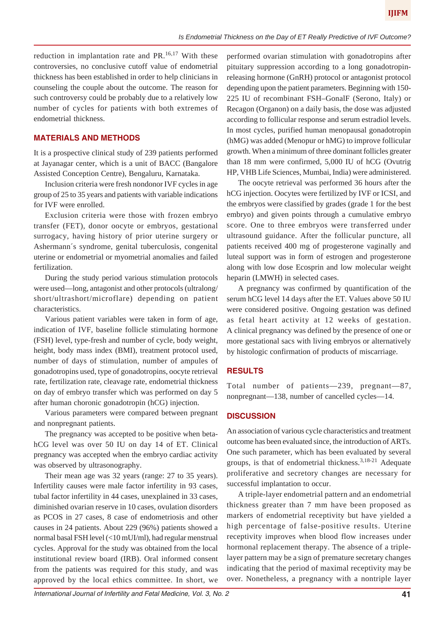reduction in implantation rate and  $PR.^{16,17}$  With these controversies, no conclusive cutoff value of endometrial thickness has been established in order to help clinicians in counseling the couple about the outcome. The reason for such controversy could be probably due to a relatively low number of cycles for patients with both extremes of endometrial thickness.

## **MATERIALS AND METHODS**

It is a prospective clinical study of 239 patients performed at Jayanagar center, which is a unit of BACC (Bangalore Assisted Conception Centre), Bengaluru, Karnataka.

Inclusion criteria were fresh nondonor IVF cycles in age group of 25 to 35 years and patients with variable indications for IVF were enrolled.

Exclusion criteria were those with frozen embryo transfer (FET), donor oocyte or embryos, gestational surrogacy, having history of prior uterine surgery or Ashermann´s syndrome, genital tuberculosis, congenital uterine or endometrial or myometrial anomalies and failed fertilization.

During the study period various stimulation protocols were used—long, antagonist and other protocols (ultralong/ short/ultrashort/microflare) depending on patient characteristics.

Various patient variables were taken in form of age, indication of IVF, baseline follicle stimulating hormone (FSH) level, type-fresh and number of cycle, body weight, height, body mass index (BMI), treatment protocol used, number of days of stimulation, number of ampules of gonadotropins used, type of gonadotropins, oocyte retrieval rate, fertilization rate, cleavage rate, endometrial thickness on day of embryo transfer which was performed on day 5 after human choronic gonadotropin (hCG) injection.

Various parameters were compared between pregnant and nonpregnant patients.

The pregnancy was accepted to be positive when betahCG level was over 50 IU on day 14 of ET. Clinical pregnancy was accepted when the embryo cardiac activity was observed by ultrasonography.

Their mean age was 32 years (range: 27 to 35 years). Infertility causes were male factor infertility in 93 cases, tubal factor infertility in 44 cases, unexplained in 33 cases, diminished ovarian reserve in 10 cases, ovulation disorders as PCOS in 27 cases, 8 case of endometriosis and other causes in 24 patients. About 229 (96%) patients showed a normal basal FSH level (<10 mUI/ml), had regular menstrual cycles. Approval for the study was obtained from the local institutional review board (IRB). Oral informed consent from the patients was required for this study, and was approved by the local ethics committee. In short, we

performed ovarian stimulation with gonadotropins after pituitary suppression according to a long gonadotropinreleasing hormone (GnRH) protocol or antagonist protocol depending upon the patient parameters. Beginning with 150- 225 IU of recombinant FSH–GonalF (Serono, Italy) or Recagon (Organon) on a daily basis, the dose was adjusted according to follicular response and serum estradiol levels. In most cycles, purified human menopausal gonadotropin (hMG) was added (Menopur or hMG) to improve follicular growth. When a minimum of three dominant follicles greater than 18 mm were confirmed, 5,000 IU of hCG (Ovutrig HP, VHB Life Sciences, Mumbai, India) were administered.

The oocyte retrieval was performed 36 hours after the hCG injection. Oocytes were fertilized by IVF or ICSI, and the embryos were classified by grades (grade 1 for the best embryo) and given points through a cumulative embryo score. One to three embryos were transferred under ultrasound guidance. After the follicular puncture, all patients received 400 mg of progesterone vaginally and luteal support was in form of estrogen and progesterone along with low dose Ecosprin and low molecular weight heparin (LMWH) in selected cases.

A pregnancy was confirmed by quantification of the serum hCG level 14 days after the ET. Values above 50 IU were considered positive. Ongoing gestation was defined as fetal heart activity at 12 weeks of gestation. A clinical pregnancy was defined by the presence of one or more gestational sacs with living embryos or alternatively by histologic confirmation of products of miscarriage.

## **RESULTS**

Total number of patients—239, pregnant—87, nonpregnant—138, number of cancelled cycles—14.

### **DISCUSSION**

An association of various cycle characteristics and treatment outcome has been evaluated since, the introduction of ARTs. One such parameter, which has been evaluated by several groups, is that of endometrial thickness.  $3,18-21$  Adequate proliferative and secretory changes are necessary for successful implantation to occur.

A triple-layer endometrial pattern and an endometrial thickness greater than 7 mm have been proposed as markers of endometrial receptivity but have yielded a high percentage of false-positive results. Uterine receptivity improves when blood flow increases under hormonal replacement therapy. The absence of a triplelayer pattern may be a sign of premature secretary changes indicating that the period of maximal receptivity may be over. Nonetheless, a pregnancy with a nontriple layer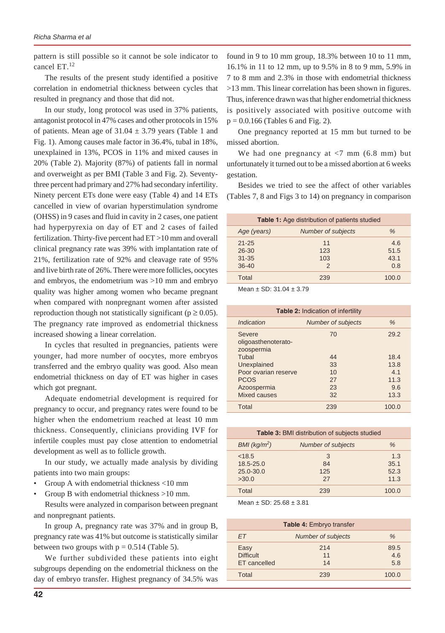pattern is still possible so it cannot be sole indicator to cancel ET.<sup>12</sup>

The results of the present study identified a positive correlation in endometrial thickness between cycles that resulted in pregnancy and those that did not.

In our study, long protocol was used in 37% patients, antagonist protocol in 47% cases and other protocols in 15% of patients. Mean age of  $31.04 \pm 3.79$  years (Table 1 and Fig. 1). Among causes male factor in 36.4%, tubal in 18%, unexplained in 13%, PCOS in 11% and mixed causes in 20% (Table 2). Majority (87%) of patients fall in normal and overweight as per BMI (Table 3 and Fig. 2). Seventythree percent had primary and 27% had secondary infertility. Ninety percent ETs done were easy (Table 4) and 14 ETs cancelled in view of ovarian hyperstimulation syndrome (OHSS) in 9 cases and fluid in cavity in 2 cases, one patient had hyperpyrexia on day of ET and 2 cases of failed fertilization. Thirty-five percent had ET >10 mm and overall clinical pregnancy rate was 39% with implantation rate of 21%, fertilization rate of 92% and cleavage rate of 95% and live birth rate of 26%. There were more follicles, oocytes and embryos, the endometrium was >10 mm and embryo quality was higher among women who became pregnant when compared with nonpregnant women after assisted reproduction though not statistically significant ( $p \ge 0.05$ ). The pregnancy rate improved as endometrial thickness increased showing a linear correlation.

In cycles that resulted in pregnancies, patients were younger, had more number of oocytes, more embryos transferred and the embryo quality was good. Also mean endometrial thickness on day of ET was higher in cases which got pregnant.

Adequate endometrial development is required for pregnancy to occur, and pregnancy rates were found to be higher when the endometrium reached at least 10 mm thickness. Consequently, clinicians providing IVF for infertile couples must pay close attention to endometrial development as well as to follicle growth.

In our study, we actually made analysis by dividing patients into two main groups:

- Group A with endometrial thickness <10 mm
- Group B with endometrial thickness >10 mm.

Results were analyzed in comparison between pregnant and nonpregnant patients.

In group A, pregnancy rate was 37% and in group B, pregnancy rate was 41% but outcome is statistically similar between two groups with  $p = 0.514$  (Table 5).

We further subdivided these patients into eight subgroups depending on the endometrial thickness on the day of embryo transfer. Highest pregnancy of 34.5% was

found in 9 to 10 mm group, 18.3% between 10 to 11 mm, 16.1% in 11 to 12 mm, up to 9.5% in 8 to 9 mm, 5.9% in 7 to 8 mm and 2.3% in those with endometrial thickness >13 mm. This linear correlation has been shown in figures. Thus, inference drawn was that higher endometrial thickness is positively associated with positive outcome with  $p = 0.0.166$  (Tables 6 and Fig. 2).

One pregnancy reported at 15 mm but turned to be missed abortion.

We had one pregnancy at  $<$ 7 mm (6.8 mm) but unfortunately it turned out to be a missed abortion at 6 weeks gestation.

Besides we tried to see the affect of other variables (Tables 7, 8 and Figs 3 to 14) on pregnancy in comparison

| <b>Table 1:</b> Age distribution of patients studied |                                   |                            |  |
|------------------------------------------------------|-----------------------------------|----------------------------|--|
| Age (years)                                          | <b>Number of subjects</b>         | $\%$                       |  |
| $21 - 25$<br>$26 - 30$<br>$31 - 35$<br>$36 - 40$     | 11<br>123<br>103<br>$\mathcal{P}$ | 4.6<br>51.5<br>43.1<br>0.8 |  |
| Total                                                | 239                               | 100.0                      |  |

Mean ± SD: 31.04 ± 3.79

| <b>Table 2: Indication of infertility</b>   |                    |       |  |
|---------------------------------------------|--------------------|-------|--|
| Indication                                  | Number of subjects | $\%$  |  |
| Severe<br>oligoasthenoterato-<br>zoospermia | 70                 | 29.2  |  |
| Tubal                                       | 44                 | 18.4  |  |
| Unexplained                                 | 33                 | 13.8  |  |
| Poor ovarian reserve                        | 10                 | 4.1   |  |
| <b>PCOS</b>                                 | 27                 | 11.3  |  |
| Azoospermia                                 | 23                 | 9.6   |  |
| Mixed causes                                | 32                 | 13.3  |  |
| Total                                       | 239                | 100.0 |  |

| <b>Table 3: BMI distribution of subjects studied</b> |                           |       |  |
|------------------------------------------------------|---------------------------|-------|--|
| $BMI$ (kg/ $m^2$ )                                   | <b>Number of subjects</b> | $\%$  |  |
| < 18.5                                               | 3                         | 1.3   |  |
| 18.5-25.0                                            | 84                        | 35.1  |  |
| 25.0-30.0                                            | 125                       | 52.3  |  |
| >30.0                                                | 27                        | 11.3  |  |
| Total                                                | 239                       | 100.0 |  |
|                                                      |                           |       |  |

Mean  $\pm$  SD: 25.68  $\pm$  3.81

| <b>Table 4: Embryo transfer</b>          |                           |                    |  |
|------------------------------------------|---------------------------|--------------------|--|
| FT.                                      | <b>Number of subjects</b> | %                  |  |
| Easy<br><b>Difficult</b><br>ET cancelled | 214<br>11<br>14           | 89.5<br>4.6<br>5.8 |  |
| Total                                    | 239                       | 100.0              |  |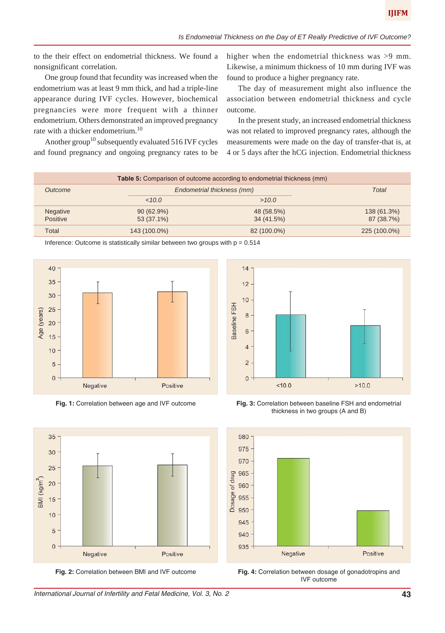to the their effect on endometrial thickness. We found a nonsignificant correlation.

One group found that fecundity was increased when the endometrium was at least 9 mm thick, and had a triple-line appearance during IVF cycles. However, biochemical pregnancies were more frequent with a thinner endometrium. Others demonstrated an improved pregnancy rate with a thicker endometrium.<sup>10</sup>

Another group<sup>10</sup> subsequently evaluated 516 IVF cycles and found pregnancy and ongoing pregnancy rates to be higher when the endometrial thickness was >9 mm. Likewise, a minimum thickness of 10 mm during IVF was found to produce a higher pregnancy rate.

The day of measurement might also influence the association between endometrial thickness and cycle outcome.

In the present study, an increased endometrial thickness was not related to improved pregnancy rates, although the measurements were made on the day of transfer-that is, at 4 or 5 days after the hCG injection. Endometrial thickness

| <b>Table 5:</b> Comparison of outcome according to endometrial thickness (mm) |              |                            |              |
|-------------------------------------------------------------------------------|--------------|----------------------------|--------------|
| Outcome                                                                       |              | Endometrial thickness (mm) | Total        |
|                                                                               | <10.0        | >10.0                      |              |
| <b>Negative</b>                                                               | 90(62.9%)    | 48 (58.5%)                 | 138 (61.3%)  |
| Positive                                                                      | 53 (37.1%)   | 34 (41.5%)                 | 87 (38.7%)   |
| Total                                                                         | 143 (100.0%) | 82 (100.0%)                | 225 (100.0%) |

Inference: Outcome is statistically similar between two groups with  $p = 0.514$ 



**Fig. 1:** Correlation between age and IVF outcome

35

30

25

15

 $10$ 

5

 $\mathbf{0}$ 

 $BMI (kg/m<sup>2</sup>)$ 20



**Fig. 3:** Correlation between baseline FSH and endometrial thickness in two groups (A and B)



**Fig. 2:** Correlation between BMI and IVF outcome

Positive

Negative

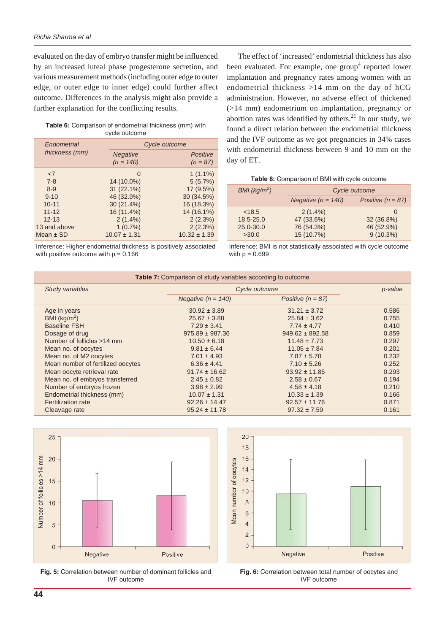evaluated on the day of embryo transfer might be influenced by an increased luteal phase progesterone secretion, and various measurement methods (including outer edge to outer edge, or outer edge to inner edge) could further affect outcome. Differences in the analysis might also provide a further explanation for the conflicting results.

**Table 6:** Comparison of endometrial thickness (mm) with cycle outcome

| Endometrial    |                                | Cycle outcome          |
|----------------|--------------------------------|------------------------|
| thickness (mm) | <b>Negative</b><br>$(n = 140)$ | Positive<br>$(n = 87)$ |
| $\leq$ 7       | $\Omega$                       | $1(1.1\%)$             |
| $7 - 8$        | 14 (10.0%)                     | 5(5.7%)                |
| $8 - 9$        | 31 (22.1%)                     | 17 (9.5%)              |
| $9 - 10$       | 46 (32.9%)                     | 30 (34.5%)             |
| $10 - 11$      | $30(21.4\%)$                   | 16 (18.3%)             |
| $11 - 12$      | 16 (11.4%)                     | 14 (16.1%)             |
| $12 - 13$      | $2(1.4\%)$                     | 2(2.3%)                |
| 13 and above   | 1(0.7%)                        | 2(2.3%)                |
| Mean $\pm$ SD  | $10.07 \pm 1.31$               | $10.32 \pm 1.39$       |

Inference: Higher endometrial thickness is positively associated with positive outcome with  $p = 0.166$ 

The effect of 'increased' endometrial thickness has also been evaluated. For example, one group<sup>4</sup> reported lower implantation and pregnancy rates among women with an endometrial thickness >14 mm on the day of hCG administration. However, no adverse effect of thickened (>14 mm) endometrium on implantation, pregnancy or abortion rates was identified by others. $21$  In our study, we found a direct relation between the endometrial thickness and the IVF outcome as we got pregnancies in 34% cases with endometrial thickness between 9 and 10 mm on the day of ET.

| Table 8: Comparison of BMI with cycle outcome |
|-----------------------------------------------|
|-----------------------------------------------|

| BMI (kg/m <sup>2</sup> ) | Cycle outcome        |                     |
|--------------------------|----------------------|---------------------|
|                          | Negative $(n = 140)$ | Positive $(n = 87)$ |
| < 18.5                   | $2(1.4\%)$           | $\left( \right)$    |
| 18.5-25.0                | 47 (33.6%)           | 32 (36.8%)          |
| 25.0-30.0                | 76 (54.3%)           | 46 (52.9%)          |
| >30.0                    | 15 (10.7%)           | $9(10.3\%)$         |

Inference: BMI is not statistically associated with cycle outcome with  $p = 0.699$ 

| Table 7: Comparison of study variables according to outcome |                      |                     |         |
|-------------------------------------------------------------|----------------------|---------------------|---------|
| Study variables                                             | Cycle outcome        |                     | p-value |
|                                                             | Negative $(n = 140)$ | Positive $(n = 87)$ |         |
| Age in years                                                | $30.92 \pm 3.89$     | $31.21 \pm 3.72$    | 0.586   |
| BMI $(kq/m2)$                                               | $25.67 \pm 3.88$     | $25.84 \pm 3.62$    | 0.755   |
| <b>Baseline FSH</b>                                         | $7.29 \pm 3.41$      | $7.74 \pm 4.77$     | 0.410   |
| Dosage of drug                                              | $975.89 \pm 987.36$  | $949.62 \pm 892.58$ | 0.859   |
| Number of follicles >14 mm                                  | $10.50 \pm 6.18$     | $11.48 \pm 7.73$    | 0.297   |
| Mean no. of oocytes                                         | $9.81 \pm 6.44$      | $11.05 \pm 7.84$    | 0.201   |
| Mean no. of M2 oocytes                                      | $7.01 \pm 4.93$      | $7.87 \pm 5.78$     | 0.232   |
| Mean number of fertilized oocytes                           | $6.36 \pm 4.41$      | $7.10 \pm 5.26$     | 0.252   |
| Mean oocyte retrieval rate                                  | $91.74 \pm 16.62$    | $93.92 \pm 11.85$   | 0.293   |
| Mean no. of embryos transferred                             | $2.45 \pm 0.82$      | $2.58 \pm 0.67$     | 0.194   |
| Number of embryos frozen                                    | $3.98 \pm 2.99$      | $4.58 \pm 4.18$     | 0.210   |
| Endometrial thickness (mm)                                  | $10.07 \pm 1.31$     | $10.33 \pm 1.39$    | 0.166   |
| <b>Fertilization rate</b>                                   | $92.26 \pm 14.47$    | $92.57 \pm 11.76$   | 0.871   |
| Cleavage rate                                               | $95.24 \pm 11.78$    | $97.32 \pm 7.59$    | 0.161   |



**Fig. 5:** Correlation between number of dominant follicles and IVF outcome



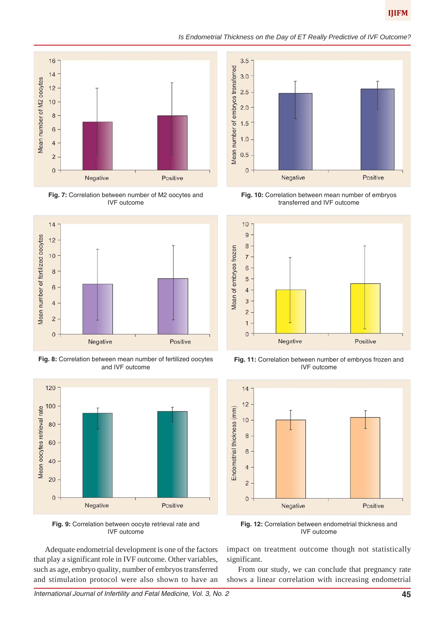*Is Endometrial Thickness on the Day of ET Really Predictive of IVF Outcome?*



**Fig. 7:** Correlation between number of M2 oocytes and IVF outcome



**Fig. 8:** Correlation between mean number of fertilized oocytes and IVF outcome



**Fig. 9:** Correlation between oocyte retrieval rate and IVF outcome

Adequate endometrial development is one of the factors that play a significant role in IVF outcome. Other variables, such as age, embryo quality, number of embryos transferred and stimulation protocol were also shown to have an



**Fig. 10:** Correlation between mean number of embryos transferred and IVF outcome



**Fig. 11:** Correlation between number of embryos frozen and IVF outcome



**Fig. 12:** Correlation between endometrial thickness and IVF outcome

impact on treatment outcome though not statistically significant.

From our study, we can conclude that pregnancy rate shows a linear correlation with increasing endometrial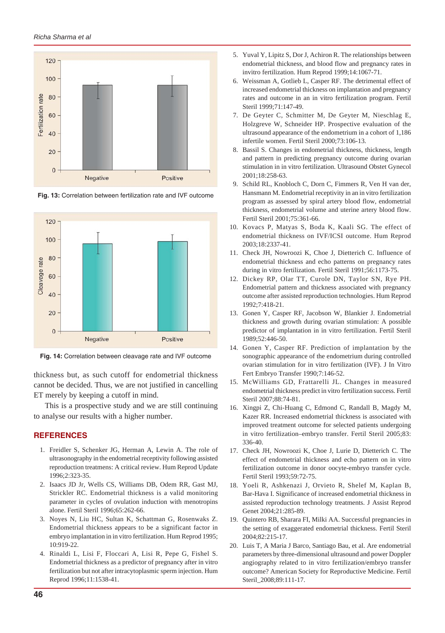

**Fig. 13:** Correlation between fertilization rate and IVF outcome



**Fig. 14:** Correlation between cleavage rate and IVF outcome

thickness but, as such cutoff for endometrial thickness cannot be decided. Thus, we are not justified in cancelling ET merely by keeping a cutoff in mind.

This is a prospective study and we are still continuing to analyse our results with a higher number.

## **REFERENCES**

- 1. Freidler S, Schenker JG, Herman A, Lewin A. The role of ultrasonography in the endometrial receptivity following assisted reproduction treatmens: A critical review. Hum Reprod Update 1996;2:323-35.
- 2. Isaacs JD Jr, Wells CS, Williams DB, Odem RR, Gast MJ, Strickler RC. Endometrial thickness is a valid monitoring parameter in cycles of ovulation induction with menotropins alone. Fertil Steril 1996;65:262-66.
- 3. Noyes N, Liu HC, Sultan K, Schattman G, Rosenwaks Z. Endometrial thickness appears to be a significant factor in embryo implantation in in vitro fertilization. Hum Reprod 1995; 10:919-22.
- 4. Rinaldi L, Lisi F, Floccari A, Lisi R, Pepe G, Fishel S. Endometrial thickness as a predictor of pregnancy after in vitro fertilization but not after intracytoplasmic sperm injection. Hum Reprod 1996;11:1538-41.
- 5. Yuval Y, Lipitz S, Dor J, Achiron R. The relationships between endometrial thickness, and blood flow and pregnancy rates in invitro fertilization. Hum Reprod 1999;14:1067-71.
- 6. Weissman A, Gotlieb L, Casper RF. The detrimental effect of increased endometrial thickness on implantation and pregnancy rates and outcome in an in vitro fertilization program. Fertil Steril 1999;71:147-49.
- 7. De Geyter C, Schmitter M, De Geyter M, Nieschlag E, Holzgreve W, Schneider HP. Prospective evaluation of the ultrasound appearance of the endometrium in a cohort of 1,186 infertile women. Fertil Steril 2000;73:106-13.
- 8. Bassil S. Changes in endometrial thickness, thickness, length and pattern in predicting pregnancy outcome during ovarian stimulation in in vitro fertilization. Ultrasound Obstet Gynecol 2001;18:258-63.
- 9. Schild RL, Knobloch C, Dorn C, Fimmers R, Ven H van der, Hansmann M. Endometrial receptivity in an in vitro fertilization program as assessed by spiral artery blood flow, endometrial thickness, endometrial volume and uterine artery blood flow. Fertil Steril 2001;75:361-66.
- 10. Kovacs P, Matyas S, Boda K, Kaali SG. The effect of endometrial thickness on IVF/ICSI outcome. Hum Reprod 2003;18:2337-41.
- 11. Check JH, Nowroozi K, Choe J, Dietterich C. Influence of endometrial thickness and echo patterns on pregnancy rates during in vitro fertilization. Fertil Steril 1991;56:1173-75.
- 12. Dickey RP, Olar TT, Curole DN, Taylor SN, Rye PH. Endometrial pattern and thickness associated with pregnancy outcome after assisted reproduction technologies. Hum Reprod 1992;7:418-21.
- 13. Gonen Y, Casper RF, Jacobson W, Blankier J. Endometrial thickness and growth during ovarian stimulation: A possible predictor of implantation in in vitro fertilization. Fertil Steril 1989;52:446-50.
- 14. Gonen Y, Casper RF. Prediction of implantation by the sonographic appearance of the endometrium during controlled ovarian stimulation for in vitro fertilization (IVF). J In Vitro Fert Embryo Transfer 1990;7:146-52.
- 15. McWilliams GD, Frattarelli JL. Changes in measured endometrial thickness predict in vitro fertilization success. Fertil Steril 2007;88:74-81.
- 16. Xingpi Z, Chi-Huang C, Edmond C, Randall B, Magdy M, Kazer RR. Increased endometrial thickness is associated with improved treatment outcome for selected patients undergoing in vitro fertilization–embryo transfer. Fertil Steril 2005;83: 336-40.
- 17. Check JH, Nowroozi K, Choe J, Lurie D, Dietterich C. The effect of endometrial thickness and echo pattern on in vitro fertilization outcome in donor oocyte-embryo transfer cycle. Fertil Steril 1993;59:72-75.
- 18. Yoeli R, Ashkenazi J, Orvieto R, Shelef M, Kaplan B, Bar-Hava I. Significance of increased endometrial thickness in assisted reproduction technology treatments. J Assist Reprod Genet 2004;21:285-89.
- 19. Quintero RB, Sharara FI, Milki AA. Successful pregnancies in the setting of exaggerated endometrial thickness. Fertil Steril 2004;82:215-17.
- 20. Luis T, A Maria J Barco, Santiago Bau, et al. Are endometrial parameters by three-dimensional ultrasound and power Doppler angiography related to in vitro fertilization/embryo transfer outcome? American Society for Reproductive Medicine. Fertil Steril\_2008;89:111-17.